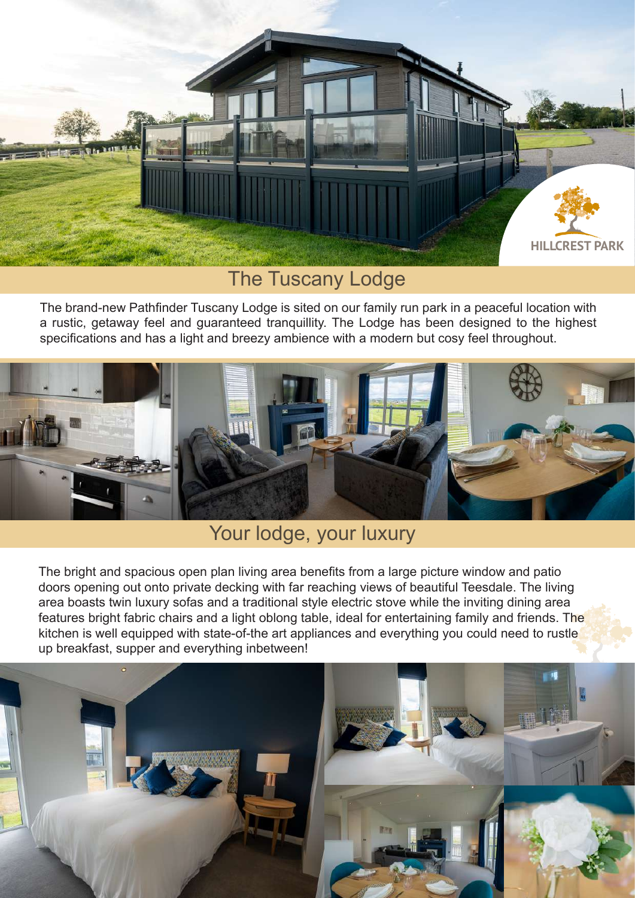

## The Tuscany Lodge

The brand-new Pathfinder Tuscany Lodge is sited on our family run park in a peaceful location with a rustic, getaway feel and guaranteed tranquillity. The Lodge has been designed to the highest specifications and has a light and breezy ambience with a modern but cosy feel throughout.



## Your lodge, your luxury

The bright and spacious open plan living area benefits from a large picture window and patio doors opening out onto private decking with far reaching views of beautiful Teesdale. The living area boasts twin luxury sofas and a traditional style electric stove while the inviting dining area features bright fabric chairs and a light oblong table, ideal for entertaining family and friends. The kitchen is well equipped with state-of-the art appliances and everything you could need to rustle up breakfast, supper and everything inbetween!